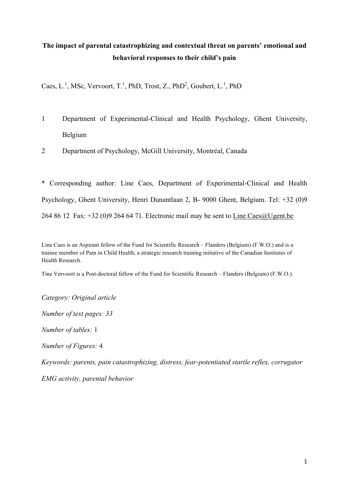# **The impact of parental catastrophizing and contextual threat on parents' emotional and behavioral responses to their child's pain**

Caes, L.<sup>1</sup>, MSc, Vervoort, T.<sup>1</sup>, PhD, Trost, Z., PhD<sup>2</sup>, Goubert, L.<sup>1</sup>, PhD

- 1 Department of Experimental-Clinical and Health Psychology, Ghent University, Belgium
- 2 Department of Psychology, McGill University, Montréal, Canada

\* Corresponding author: Line Caes, Department of Experimental-Clinical and Health Psychology, Ghent University, Henri Dunantlaan 2, B- 9000 Ghent, Belgium. Tel: +32 (0)9 264 86 12 Fax: +32 (0)9 264 64 71. Electronic mail may be sent to Line.Caes@Ugent.be

Line Caes is an Aspirant fellow of the Fund for Scientific Research – Flanders (Belgium) (F.W.O.) and is a trainee member of Pain in Child Health, a strategic research training initiative of the Canadian Institutes of Health Research.

Tine Vervoort is a Post-doctoral fellow of the Fund for Scientific Research – Flanders (Belgium) (F.W.O.).

*Category: Original article*

*Number of text pages: 33*

*Number of tables:* 1

*Number of Figures:* 4

*Keywords: parents, pain catastrophizing, distress, fear-potentiated startle reflex, corrugator* 

*EMG activity, parental behavior*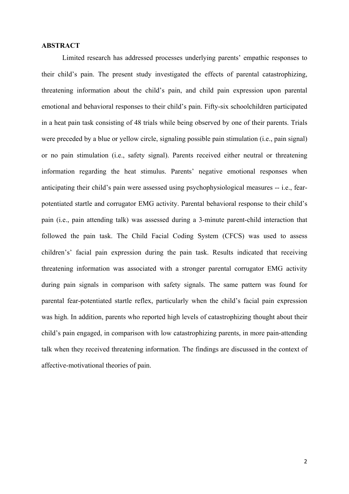# **ABSTRACT**

Limited research has addressed processes underlying parents' empathic responses to their child's pain. The present study investigated the effects of parental catastrophizing, threatening information about the child's pain, and child pain expression upon parental emotional and behavioral responses to their child's pain. Fifty-six schoolchildren participated in a heat pain task consisting of 48 trials while being observed by one of their parents. Trials were preceded by a blue or yellow circle, signaling possible pain stimulation (i.e., pain signal) or no pain stimulation (i.e., safety signal). Parents received either neutral or threatening information regarding the heat stimulus. Parents' negative emotional responses when anticipating their child's pain were assessed using psychophysiological measures -- i.e., fearpotentiated startle and corrugator EMG activity. Parental behavioral response to their child's pain (i.e., pain attending talk) was assessed during a 3-minute parent-child interaction that followed the pain task. The Child Facial Coding System (CFCS) was used to assess children's' facial pain expression during the pain task. Results indicated that receiving threatening information was associated with a stronger parental corrugator EMG activity during pain signals in comparison with safety signals. The same pattern was found for parental fear-potentiated startle reflex, particularly when the child's facial pain expression was high. In addition, parents who reported high levels of catastrophizing thought about their child's pain engaged, in comparison with low catastrophizing parents, in more pain-attending talk when they received threatening information. The findings are discussed in the context of affective-motivational theories of pain.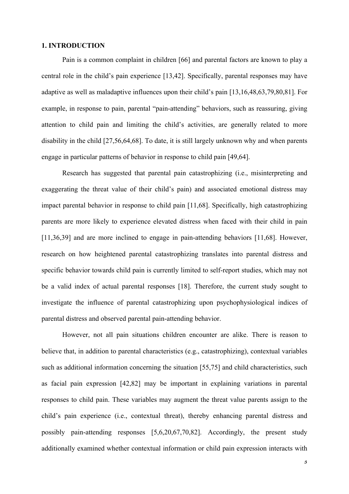#### **1. INTRODUCTION**

Pain is a common complaint in children [66] and parental factors are known to play a central role in the child's pain experience [13,42]. Specifically, parental responses may have adaptive as well as maladaptive influences upon their child's pain [13,16,48,63,79,80,81]. For example, in response to pain, parental "pain-attending" behaviors, such as reassuring, giving attention to child pain and limiting the child's activities, are generally related to more disability in the child [27,56,64,68]. To date, it is still largely unknown why and when parents engage in particular patterns of behavior in response to child pain [49,64].

Research has suggested that parental pain catastrophizing (i.e., misinterpreting and exaggerating the threat value of their child's pain) and associated emotional distress may impact parental behavior in response to child pain [11,68]. Specifically, high catastrophizing parents are more likely to experience elevated distress when faced with their child in pain [11,36,39] and are more inclined to engage in pain-attending behaviors [11,68]. However, research on how heightened parental catastrophizing translates into parental distress and specific behavior towards child pain is currently limited to self-report studies, which may not be a valid index of actual parental responses [18]. Therefore, the current study sought to investigate the influence of parental catastrophizing upon psychophysiological indices of parental distress and observed parental pain-attending behavior.

However, not all pain situations children encounter are alike. There is reason to believe that, in addition to parental characteristics (e.g., catastrophizing), contextual variables such as additional information concerning the situation [55,75] and child characteristics, such as facial pain expression [42,82] may be important in explaining variations in parental responses to child pain. These variables may augment the threat value parents assign to the child's pain experience (i.e., contextual threat), thereby enhancing parental distress and possibly pain-attending responses [5,6,20,67,70,82]. Accordingly, the present study additionally examined whether contextual information or child pain expression interacts with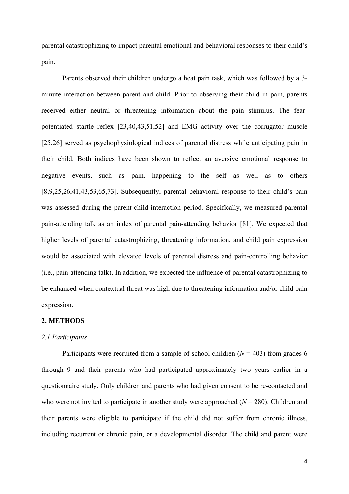parental catastrophizing to impact parental emotional and behavioral responses to their child's pain.

Parents observed their children undergo a heat pain task, which was followed by a 3 minute interaction between parent and child. Prior to observing their child in pain, parents received either neutral or threatening information about the pain stimulus. The fearpotentiated startle reflex [23,40,43,51,52] and EMG activity over the corrugator muscle [25,26] served as psychophysiological indices of parental distress while anticipating pain in their child. Both indices have been shown to reflect an aversive emotional response to negative events, such as pain, happening to the self as well as to others [8,9,25,26,41,43,53,65,73]. Subsequently, parental behavioral response to their child's pain was assessed during the parent-child interaction period. Specifically, we measured parental pain-attending talk as an index of parental pain-attending behavior [81]. We expected that higher levels of parental catastrophizing, threatening information, and child pain expression would be associated with elevated levels of parental distress and pain-controlling behavior (i.e., pain-attending talk). In addition, we expected the influence of parental catastrophizing to be enhanced when contextual threat was high due to threatening information and/or child pain expression.

#### **2. METHODS**

# *2.1 Participants*

Participants were recruited from a sample of school children  $(N = 403)$  from grades 6 through 9 and their parents who had participated approximately two years earlier in a questionnaire study. Only children and parents who had given consent to be re-contacted and who were not invited to participate in another study were approached  $(N = 280)$ . Children and their parents were eligible to participate if the child did not suffer from chronic illness, including recurrent or chronic pain, or a developmental disorder. The child and parent were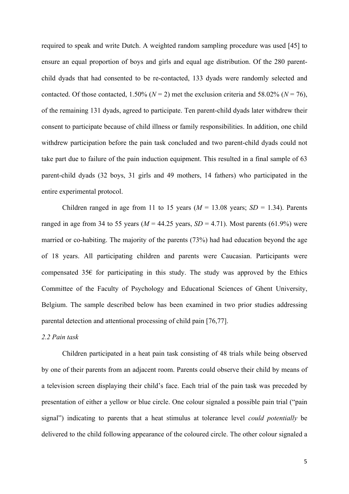required to speak and write Dutch. A weighted random sampling procedure was used [45] to ensure an equal proportion of boys and girls and equal age distribution. Of the 280 parentchild dyads that had consented to be re-contacted, 133 dyads were randomly selected and contacted. Of those contacted, 1.50% ( $N = 2$ ) met the exclusion criteria and 58.02% ( $N = 76$ ), of the remaining 131 dyads, agreed to participate. Ten parent-child dyads later withdrew their consent to participate because of child illness or family responsibilities. In addition, one child withdrew participation before the pain task concluded and two parent-child dyads could not take part due to failure of the pain induction equipment. This resulted in a final sample of 63 parent-child dyads (32 boys, 31 girls and 49 mothers, 14 fathers) who participated in the entire experimental protocol.

Children ranged in age from 11 to 15 years  $(M = 13.08$  years;  $SD = 1.34$ ). Parents ranged in age from 34 to 55 years ( $M = 44.25$  years,  $SD = 4.71$ ). Most parents (61.9%) were married or co-habiting. The majority of the parents (73%) had had education beyond the age of 18 years. All participating children and parents were Caucasian. Participants were compensated 35 $\epsilon$  for participating in this study. The study was approved by the Ethics Committee of the Faculty of Psychology and Educational Sciences of Ghent University, Belgium. The sample described below has been examined in two prior studies addressing parental detection and attentional processing of child pain [76,77].

#### *2.2 Pain task*

Children participated in a heat pain task consisting of 48 trials while being observed by one of their parents from an adjacent room. Parents could observe their child by means of a television screen displaying their child's face. Each trial of the pain task was preceded by presentation of either a yellow or blue circle. One colour signaled a possible pain trial ("pain signal") indicating to parents that a heat stimulus at tolerance level *could potentially* be delivered to the child following appearance of the coloured circle. The other colour signaled a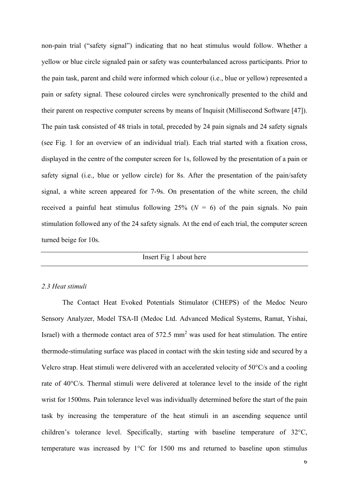non-pain trial ("safety signal") indicating that no heat stimulus would follow. Whether a yellow or blue circle signaled pain or safety was counterbalanced across participants. Prior to the pain task, parent and child were informed which colour (i.e., blue or yellow) represented a pain or safety signal. These coloured circles were synchronically presented to the child and their parent on respective computer screens by means of Inquisit (Millisecond Software [47]). The pain task consisted of 48 trials in total, preceded by 24 pain signals and 24 safety signals (see Fig. 1 for an overview of an individual trial). Each trial started with a fixation cross, displayed in the centre of the computer screen for 1s, followed by the presentation of a pain or safety signal (i.e., blue or yellow circle) for 8s. After the presentation of the pain/safety signal, a white screen appeared for 7-9s. On presentation of the white screen, the child received a painful heat stimulus following  $25\%$  ( $N = 6$ ) of the pain signals. No pain stimulation followed any of the 24 safety signals. At the end of each trial, the computer screen turned beige for 10s.

Insert Fig 1 about here

#### *2.3 Heat stimuli*

The Contact Heat Evoked Potentials Stimulator (CHEPS) of the Medoc Neuro Sensory Analyzer, Model TSA-II (Medoc Ltd. Advanced Medical Systems, Ramat, Yishai, Israel) with a thermode contact area of  $572.5 \text{ mm}^2$  was used for heat stimulation. The entire thermode-stimulating surface was placed in contact with the skin testing side and secured by a Velcro strap. Heat stimuli were delivered with an accelerated velocity of 50°C/s and a cooling rate of 40°C/s. Thermal stimuli were delivered at tolerance level to the inside of the right wrist for 1500ms. Pain tolerance level was individually determined before the start of the pain task by increasing the temperature of the heat stimuli in an ascending sequence until children's tolerance level. Specifically, starting with baseline temperature of 32°C, temperature was increased by 1°C for 1500 ms and returned to baseline upon stimulus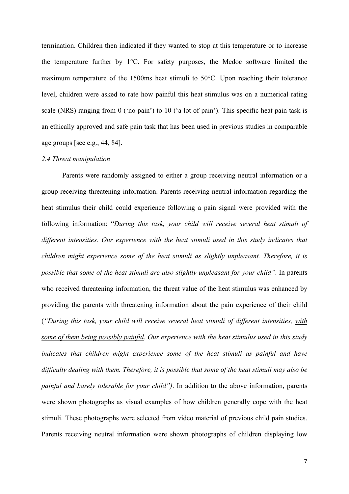termination. Children then indicated if they wanted to stop at this temperature or to increase the temperature further by 1°C. For safety purposes, the Medoc software limited the maximum temperature of the 1500ms heat stimuli to 50°C. Upon reaching their tolerance level, children were asked to rate how painful this heat stimulus was on a numerical rating scale (NRS) ranging from 0 ('no pain') to 10 ('a lot of pain'). This specific heat pain task is an ethically approved and safe pain task that has been used in previous studies in comparable age groups [see e.g., 44, 84].

#### *2.4 Threat manipulation*

Parents were randomly assigned to either a group receiving neutral information or a group receiving threatening information. Parents receiving neutral information regarding the heat stimulus their child could experience following a pain signal were provided with the following information: "*During this task, your child will receive several heat stimuli of different intensities. Our experience with the heat stimuli used in this study indicates that children might experience some of the heat stimuli as slightly unpleasant. Therefore, it is possible that some of the heat stimuli are also slightly unpleasant for your child"*. In parents who received threatening information, the threat value of the heat stimulus was enhanced by providing the parents with threatening information about the pain experience of their child (*"During this task, your child will receive several heat stimuli of different intensities, with some of them being possibly painful. Our experience with the heat stimulus used in this study indicates that children might experience some of the heat stimuli as painful and have difficulty dealing with them. Therefore, it is possible that some of the heat stimuli may also be painful and barely tolerable for your child")*. In addition to the above information, parents were shown photographs as visual examples of how children generally cope with the heat stimuli. These photographs were selected from video material of previous child pain studies. Parents receiving neutral information were shown photographs of children displaying low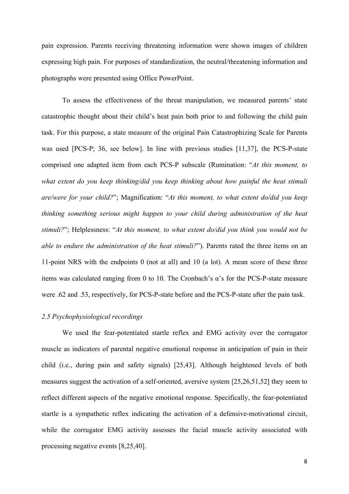pain expression. Parents receiving threatening information were shown images of children expressing high pain. For purposes of standardization, the neutral/threatening information and photographs were presented using Office PowerPoint.

To assess the effectiveness of the threat manipulation, we measured parents' state catastrophic thought about their child's heat pain both prior to and following the child pain task. For this purpose, a state measure of the original Pain Catastrophizing Scale for Parents was used [PCS-P; 36, see below]. In line with previous studies [11,37], the PCS-P-state comprised one adapted item from each PCS-P subscale (Rumination: "*At this moment, to what extent do you keep thinking/did you keep thinking about how painful the heat stimuli are/were for your child?*"; Magnification: "*At this moment, to what extent do/did you keep thinking something serious might happen to your child during administration of the heat stimuli?*"; Helplessness: "*At this moment, to what extent do/did you think you would not be able to endure the administration of the heat stimuli?*"). Parents rated the three items on an 11-point NRS with the endpoints 0 (not at all) and 10 (a lot). A mean score of these three items was calculated ranging from 0 to 10. The Cronbach's α's for the PCS-P-state measure were .62 and .53, respectively, for PCS-P-state before and the PCS-P-state after the pain task.

#### *2.5 Psychophysiological recordings*

We used the fear-potentiated startle reflex and EMG activity over the corrugator muscle as indicators of parental negative emotional response in anticipation of pain in their child (i.e., during pain and safety signals) [25,43]. Although heightened levels of both measures suggest the activation of a self-oriented, aversive system [25,26,51,52] they seem to reflect different aspects of the negative emotional response. Specifically, the fear-potentiated startle is a sympathetic reflex indicating the activation of a defensive-motivational circuit, while the corrugator EMG activity assesses the facial muscle activity associated with processing negative events [8,25,40].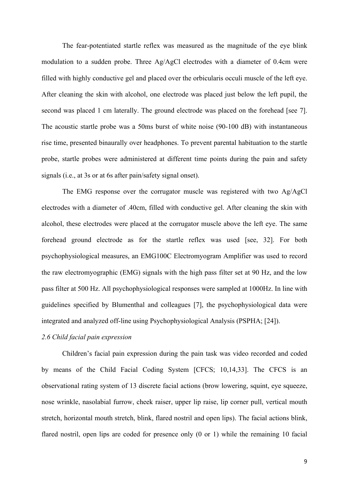The fear-potentiated startle reflex was measured as the magnitude of the eye blink modulation to a sudden probe. Three Ag/AgCl electrodes with a diameter of 0.4cm were filled with highly conductive gel and placed over the orbicularis occuli muscle of the left eye. After cleaning the skin with alcohol, one electrode was placed just below the left pupil, the second was placed 1 cm laterally. The ground electrode was placed on the forehead [see 7]. The acoustic startle probe was a 50ms burst of white noise (90-100 dB) with instantaneous rise time, presented binaurally over headphones. To prevent parental habituation to the startle probe, startle probes were administered at different time points during the pain and safety signals (i.e., at 3s or at 6s after pain/safety signal onset).

The EMG response over the corrugator muscle was registered with two Ag/AgCl electrodes with a diameter of .40cm, filled with conductive gel. After cleaning the skin with alcohol, these electrodes were placed at the corrugator muscle above the left eye. The same forehead ground electrode as for the startle reflex was used [see, 32]. For both psychophysiological measures, an EMG100C Electromyogram Amplifier was used to record the raw electromyographic (EMG) signals with the high pass filter set at 90 Hz, and the low pass filter at 500 Hz. All psychophysiological responses were sampled at 1000Hz. In line with guidelines specified by Blumenthal and colleagues [7], the psychophysiological data were integrated and analyzed off-line using Psychophysiological Analysis (PSPHA; [24]).

# *2.6 Child facial pain expression*

Children's facial pain expression during the pain task was video recorded and coded by means of the Child Facial Coding System [CFCS; 10,14,33]. The CFCS is an observational rating system of 13 discrete facial actions (brow lowering, squint, eye squeeze, nose wrinkle, nasolabial furrow, cheek raiser, upper lip raise, lip corner pull, vertical mouth stretch, horizontal mouth stretch, blink, flared nostril and open lips). The facial actions blink, flared nostril, open lips are coded for presence only (0 or 1) while the remaining 10 facial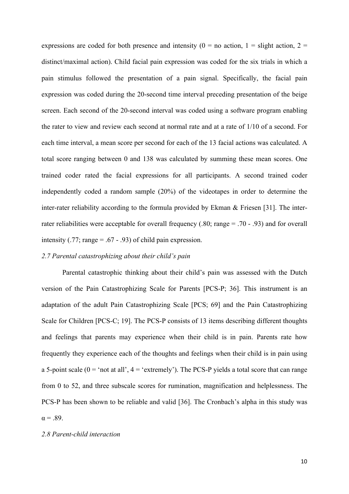expressions are coded for both presence and intensity ( $0 =$  no action,  $1 =$  slight action,  $2 =$ distinct/maximal action). Child facial pain expression was coded for the six trials in which a pain stimulus followed the presentation of a pain signal. Specifically, the facial pain expression was coded during the 20-second time interval preceding presentation of the beige screen. Each second of the 20-second interval was coded using a software program enabling the rater to view and review each second at normal rate and at a rate of 1/10 of a second. For each time interval, a mean score per second for each of the 13 facial actions was calculated. A total score ranging between 0 and 138 was calculated by summing these mean scores. One trained coder rated the facial expressions for all participants. A second trained coder independently coded a random sample (20%) of the videotapes in order to determine the inter-rater reliability according to the formula provided by Ekman  $\&$  Friesen [31]. The interrater reliabilities were acceptable for overall frequency (.80; range = .70 - .93) and for overall intensity  $(.77; \text{range} = .67 - .93)$  of child pain expression.

#### *2.7 Parental catastrophizing about their child's pain*

Parental catastrophic thinking about their child's pain was assessed with the Dutch version of the Pain Catastrophizing Scale for Parents [PCS-P; 36]. This instrument is an adaptation of the adult Pain Catastrophizing Scale [PCS; 69] and the Pain Catastrophizing Scale for Children [PCS-C; 19]. The PCS-P consists of 13 items describing different thoughts and feelings that parents may experience when their child is in pain. Parents rate how frequently they experience each of the thoughts and feelings when their child is in pain using a 5-point scale ( $0 = \text{`not at all'}, 4 = \text{`extremely'}$ ). The PCS-P yields a total score that can range from 0 to 52, and three subscale scores for rumination, magnification and helplessness. The PCS-P has been shown to be reliable and valid [36]. The Cronbach's alpha in this study was  $\alpha = .89$ .

#### *2.8 Parent-child interaction*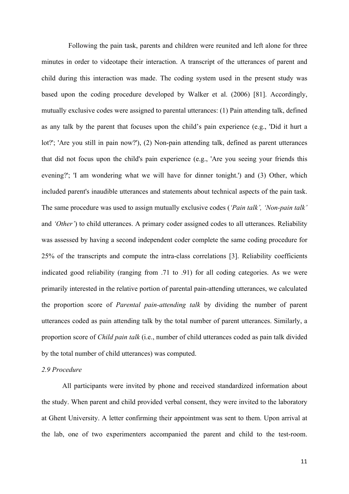Following the pain task, parents and children were reunited and left alone for three minutes in order to videotape their interaction. A transcript of the utterances of parent and child during this interaction was made. The coding system used in the present study was based upon the coding procedure developed by Walker et al. (2006) [81]. Accordingly, mutually exclusive codes were assigned to parental utterances: (1) Pain attending talk, defined as any talk by the parent that focuses upon the child's pain experience (e.g., 'Did it hurt a lot?'; 'Are you still in pain now?'), (2) Non-pain attending talk, defined as parent utterances that did not focus upon the child's pain experience (e.g., 'Are you seeing your friends this evening?'; 'I am wondering what we will have for dinner tonight.') and (3) Other, which included parent's inaudible utterances and statements about technical aspects of the pain task. The same procedure was used to assign mutually exclusive codes (*'Pain talk', 'Non-pain talk'* and *'Other'*) to child utterances. A primary coder assigned codes to all utterances. Reliability was assessed by having a second independent coder complete the same coding procedure for 25% of the transcripts and compute the intra-class correlations [3]. Reliability coefficients indicated good reliability (ranging from .71 to .91) for all coding categories. As we were primarily interested in the relative portion of parental pain-attending utterances, we calculated the proportion score of *Parental pain-attending talk* by dividing the number of parent utterances coded as pain attending talk by the total number of parent utterances. Similarly, a proportion score of *Child pain talk* (i.e., number of child utterances coded as pain talk divided by the total number of child utterances) was computed.

# *2.9 Procedure*

All participants were invited by phone and received standardized information about the study. When parent and child provided verbal consent, they were invited to the laboratory at Ghent University. A letter confirming their appointment was sent to them. Upon arrival at the lab, one of two experimenters accompanied the parent and child to the test-room.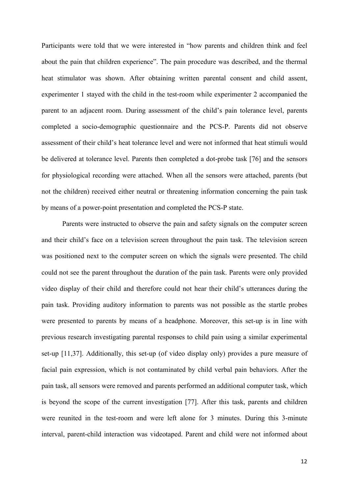Participants were told that we were interested in "how parents and children think and feel about the pain that children experience". The pain procedure was described, and the thermal heat stimulator was shown. After obtaining written parental consent and child assent, experimenter 1 stayed with the child in the test-room while experimenter 2 accompanied the parent to an adjacent room. During assessment of the child's pain tolerance level, parents completed a socio-demographic questionnaire and the PCS-P. Parents did not observe assessment of their child's heat tolerance level and were not informed that heat stimuli would be delivered at tolerance level. Parents then completed a dot-probe task [76] and the sensors for physiological recording were attached. When all the sensors were attached, parents (but not the children) received either neutral or threatening information concerning the pain task by means of a power-point presentation and completed the PCS-P state.

Parents were instructed to observe the pain and safety signals on the computer screen and their child's face on a television screen throughout the pain task. The television screen was positioned next to the computer screen on which the signals were presented. The child could not see the parent throughout the duration of the pain task. Parents were only provided video display of their child and therefore could not hear their child's utterances during the pain task. Providing auditory information to parents was not possible as the startle probes were presented to parents by means of a headphone. Moreover, this set-up is in line with previous research investigating parental responses to child pain using a similar experimental set-up [11,37]. Additionally, this set-up (of video display only) provides a pure measure of facial pain expression, which is not contaminated by child verbal pain behaviors. After the pain task, all sensors were removed and parents performed an additional computer task, which is beyond the scope of the current investigation [77]. After this task, parents and children were reunited in the test-room and were left alone for 3 minutes. During this 3-minute interval, parent-child interaction was videotaped. Parent and child were not informed about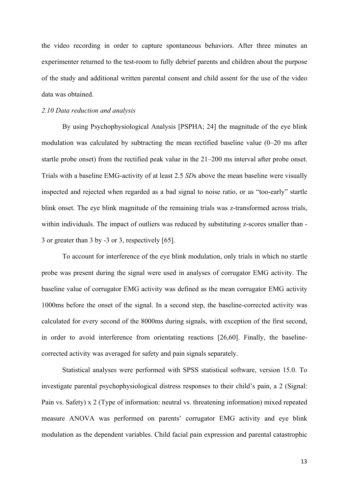the video recording in order to capture spontaneous behaviors. After three minutes an experimenter returned to the test-room to fully debrief parents and children about the purpose of the study and additional written parental consent and child assent for the use of the video data was obtained.

#### *2.10 Data reduction and analysis*

By using Psychophysiological Analysis [PSPHA; 24] the magnitude of the eye blink modulation was calculated by subtracting the mean rectified baseline value (0–20 ms after startle probe onset) from the rectified peak value in the 21–200 ms interval after probe onset. Trials with a baseline EMG-activity of at least 2.5 *SD*s above the mean baseline were visually inspected and rejected when regarded as a bad signal to noise ratio, or as "too-early" startle blink onset. The eye blink magnitude of the remaining trials was z-transformed across trials, within individuals. The impact of outliers was reduced by substituting z-scores smaller than -3 or greater than 3 by -3 or 3, respectively [65].

To account for interference of the eye blink modulation, only trials in which no startle probe was present during the signal were used in analyses of corrugator EMG activity. The baseline value of corrugator EMG activity was defined as the mean corrugator EMG activity 1000ms before the onset of the signal. In a second step, the baseline-corrected activity was calculated for every second of the 8000ms during signals, with exception of the first second, in order to avoid interference from orientating reactions [26,60]. Finally, the baselinecorrected activity was averaged for safety and pain signals separately.

Statistical analyses were performed with SPSS statistical software, version 15.0. To investigate parental psychophysiological distress responses to their child's pain, a 2 (Signal: Pain vs. Safety) x 2 (Type of information: neutral vs. threatening information) mixed repeated measure ANOVA was performed on parents' corrugator EMG activity and eye blink modulation as the dependent variables. Child facial pain expression and parental catastrophic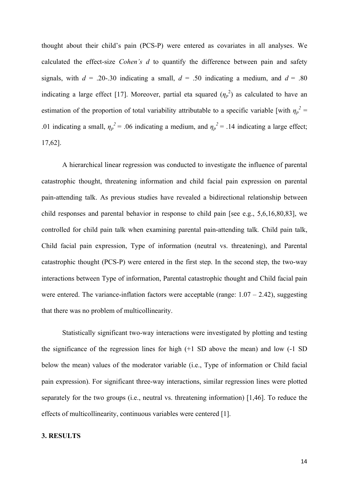thought about their child's pain (PCS-P) were entered as covariates in all analyses. We calculated the effect-size *Cohen's d* to quantify the difference between pain and safety signals, with  $d = .20-.30$  indicating a small,  $d = .50$  indicating a medium, and  $d = .80$ indicating a large effect [17]. Moreover, partial eta squared  $(\eta_p^2)$  as calculated to have an estimation of the proportion of total variability attributable to a specific variable [with  $\eta_p^2$  = .01 indicating a small,  $\eta_p^2 = 0.06$  indicating a medium, and  $\eta_p^2 = 0.14$  indicating a large effect; 17,62].

A hierarchical linear regression was conducted to investigate the influence of parental catastrophic thought, threatening information and child facial pain expression on parental pain-attending talk. As previous studies have revealed a bidirectional relationship between child responses and parental behavior in response to child pain [see e.g., 5,6,16,80,83], we controlled for child pain talk when examining parental pain-attending talk*.* Child pain talk, Child facial pain expression, Type of information (neutral vs. threatening), and Parental catastrophic thought (PCS-P) were entered in the first step. In the second step, the two-way interactions between Type of information, Parental catastrophic thought and Child facial pain were entered. The variance-inflation factors were acceptable (range:  $1.07 - 2.42$ ), suggesting that there was no problem of multicollinearity.

Statistically significant two-way interactions were investigated by plotting and testing the significance of the regression lines for high (+1 SD above the mean) and low (-1 SD below the mean) values of the moderator variable (i.e., Type of information or Child facial pain expression). For significant three-way interactions, similar regression lines were plotted separately for the two groups (i.e., neutral vs. threatening information) [1,46]. To reduce the effects of multicollinearity, continuous variables were centered [1].

# **3. RESULTS**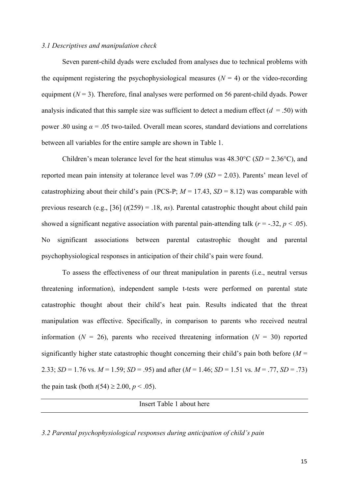#### *3.1 Descriptives and manipulation check*

Seven parent-child dyads were excluded from analyses due to technical problems with the equipment registering the psychophysiological measures  $(N = 4)$  or the video-recording equipment  $(N = 3)$ . Therefore, final analyses were performed on 56 parent-child dyads. Power analysis indicated that this sample size was sufficient to detect a medium effect  $(d = .50)$  with power .80 using  $\alpha$  = .05 two-tailed. Overall mean scores, standard deviations and correlations between all variables for the entire sample are shown in Table 1.

Children's mean tolerance level for the heat stimulus was 48.30°C (*SD* = 2.36°C), and reported mean pain intensity at tolerance level was 7.09 (*SD* = 2.03). Parents' mean level of catastrophizing about their child's pain (PCS-P;  $M = 17.43$ ,  $SD = 8.12$ ) was comparable with previous research (e.g., [36] (*t*(259) = .18, *ns*). Parental catastrophic thought about child pain showed a significant negative association with parental pain-attending talk  $(r = -.32, p < .05)$ . No significant associations between parental catastrophic thought and parental psychophysiological responses in anticipation of their child's pain were found.

To assess the effectiveness of our threat manipulation in parents (i.e., neutral versus threatening information), independent sample t-tests were performed on parental state catastrophic thought about their child's heat pain. Results indicated that the threat manipulation was effective. Specifically, in comparison to parents who received neutral information ( $N = 26$ ), parents who received threatening information ( $N = 30$ ) reported significantly higher state catastrophic thought concerning their child's pain both before  $(M =$ 2.33; *SD* = 1.76 vs.  $M = 1.59$ ; *SD* = .95) and after ( $M = 1.46$ ; *SD* = 1.51 vs.  $M = .77$ , *SD* = .73) the pain task (both  $t(54) \ge 2.00$ ,  $p < .05$ ).

Insert Table 1 about here

*3.2 Parental psychophysiological responses during anticipation of child's pain*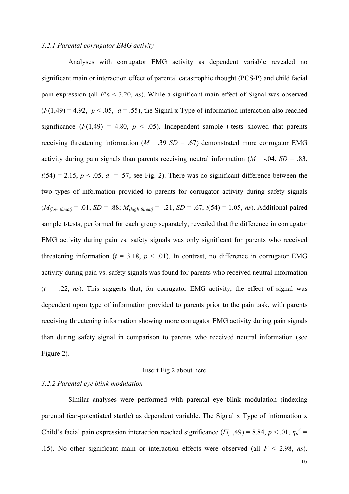#### *3.2.1 Parental corrugator EMG activity*

Analyses with corrugator EMG activity as dependent variable revealed no significant main or interaction effect of parental catastrophic thought (PCS-P) and child facial pain expression (all *F*'s < 3.20, *ns*). While a significant main effect of Signal was observed  $(F(1,49) = 4.92, p < .05, d = .55)$ , the Signal x Type of information interaction also reached significance  $(F(1,49) = 4.80, p < .05)$ . Independent sample t-tests showed that parents receiving threatening information ( $M = .39$  *SD* = .67) demonstrated more corrugator EMG activity during pain signals than parents receiving neutral information ( $M = -0.04$ ,  $SD = 0.83$ ,  $t(54) = 2.15$ ,  $p < .05$ ,  $d = .57$ ; see Fig. 2). There was no significant difference between the two types of information provided to parents for corrugator activity during safety signals  $(M_{\text{flow threat}} = .01, SD = .88; M_{\text{high threat}} = -.21, SD = .67; t(54) = 1.05, ns)$ . Additional paired sample t-tests, performed for each group separately, revealed that the difference in corrugator EMG activity during pain vs. safety signals was only significant for parents who received threatening information ( $t = 3.18$ ,  $p < .01$ ). In contrast, no difference in corrugator EMG activity during pain vs. safety signals was found for parents who received neutral information  $(t = -.22, ns)$ . This suggests that, for corrugator EMG activity, the effect of signal was dependent upon type of information provided to parents prior to the pain task, with parents receiving threatening information showing more corrugator EMG activity during pain signals than during safety signal in comparison to parents who received neutral information (see Figure 2).

## Insert Fig 2 about here

#### *3.2.2 Parental eye blink modulation*

Similar analyses were performed with parental eye blink modulation (indexing parental fear-potentiated startle) as dependent variable. The Signal x Type of information x Child's facial pain expression interaction reached significance ( $F(1,49) = 8.84$ ,  $p < .01$ ,  $\eta_p^2 =$ .15). No other significant main or interaction effects were observed (all *F* < 2.98, *ns*).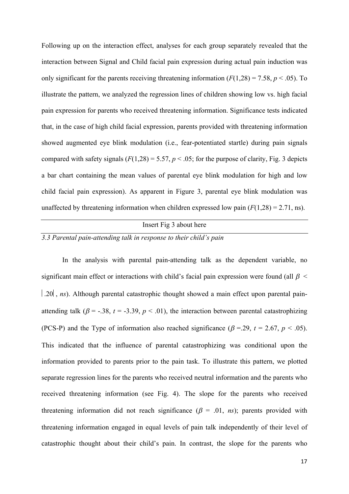Following up on the interaction effect, analyses for each group separately revealed that the interaction between Signal and Child facial pain expression during actual pain induction was only significant for the parents receiving threatening information  $(F(1,28) = 7.58, p < .05)$ . To illustrate the pattern, we analyzed the regression lines of children showing low vs. high facial pain expression for parents who received threatening information. Significance tests indicated that, in the case of high child facial expression, parents provided with threatening information showed augmented eye blink modulation (i.e., fear-potentiated startle) during pain signals compared with safety signals  $(F(1,28) = 5.57, p < .05)$ ; for the purpose of clarity, Fig. 3 depicts a bar chart containing the mean values of parental eye blink modulation for high and low child facial pain expression). As apparent in Figure 3, parental eye blink modulation was unaffected by threatening information when children expressed low pain  $(F(1,28) = 2.71, \text{ns})$ .

# Insert Fig 3 about here

# *3.3 Parental pain-attending talk in response to their child's pain*

In the analysis with parental pain-attending talk as the dependent variable, no significant main effect or interactions with child's facial pain expression were found (all  $\beta$  < [.20], *ns*). Although parental catastrophic thought showed a main effect upon parental painattending talk ( $\beta$  = -.38,  $t$  = -3.39,  $p$  < .01), the interaction between parental catastrophizing (PCS-P) and the Type of information also reached significance ( $\beta$  =.29,  $t$  = 2.67,  $p$  < .05). This indicated that the influence of parental catastrophizing was conditional upon the information provided to parents prior to the pain task. To illustrate this pattern, we plotted separate regression lines for the parents who received neutral information and the parents who received threatening information (see Fig. 4). The slope for the parents who received threatening information did not reach significance  $(\beta = .01, ns)$ ; parents provided with threatening information engaged in equal levels of pain talk independently of their level of catastrophic thought about their child's pain. In contrast, the slope for the parents who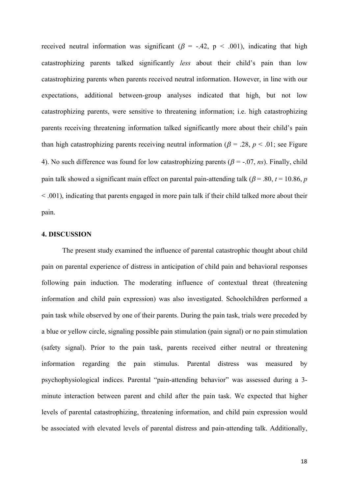received neutral information was significant ( $\beta$  = -.42, p < .001), indicating that high catastrophizing parents talked significantly *less* about their child's pain than low catastrophizing parents when parents received neutral information. However, in line with our expectations, additional between-group analyses indicated that high, but not low catastrophizing parents, were sensitive to threatening information; i.e. high catastrophizing parents receiving threatening information talked significantly more about their child's pain than high catastrophizing parents receiving neutral information ( $\beta$  = .28,  $p$  < .01; see Figure 4). No such difference was found for low catastrophizing parents ( $\beta$  = -.07, *ns*). Finally, child pain talk showed a significant main effect on parental pain-attending talk ( $\beta$  = .80,  $t$  = 10.86, *p* < .001), indicating that parents engaged in more pain talk if their child talked more about their pain.

## **4. DISCUSSION**

The present study examined the influence of parental catastrophic thought about child pain on parental experience of distress in anticipation of child pain and behavioral responses following pain induction. The moderating influence of contextual threat (threatening information and child pain expression) was also investigated. Schoolchildren performed a pain task while observed by one of their parents. During the pain task, trials were preceded by a blue or yellow circle, signaling possible pain stimulation (pain signal) or no pain stimulation (safety signal). Prior to the pain task, parents received either neutral or threatening information regarding the pain stimulus. Parental distress was measured by psychophysiological indices. Parental "pain-attending behavior" was assessed during a 3 minute interaction between parent and child after the pain task. We expected that higher levels of parental catastrophizing, threatening information, and child pain expression would be associated with elevated levels of parental distress and pain-attending talk. Additionally,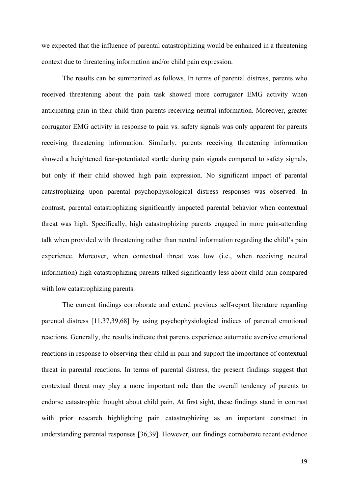we expected that the influence of parental catastrophizing would be enhanced in a threatening context due to threatening information and/or child pain expression.

The results can be summarized as follows. In terms of parental distress, parents who received threatening about the pain task showed more corrugator EMG activity when anticipating pain in their child than parents receiving neutral information. Moreover, greater corrugator EMG activity in response to pain vs. safety signals was only apparent for parents receiving threatening information. Similarly, parents receiving threatening information showed a heightened fear-potentiated startle during pain signals compared to safety signals, but only if their child showed high pain expression. No significant impact of parental catastrophizing upon parental psychophysiological distress responses was observed. In contrast, parental catastrophizing significantly impacted parental behavior when contextual threat was high. Specifically, high catastrophizing parents engaged in more pain-attending talk when provided with threatening rather than neutral information regarding the child's pain experience. Moreover, when contextual threat was low (i.e., when receiving neutral information) high catastrophizing parents talked significantly less about child pain compared with low catastrophizing parents.

The current findings corroborate and extend previous self-report literature regarding parental distress [11,37,39,68] by using psychophysiological indices of parental emotional reactions. Generally, the results indicate that parents experience automatic aversive emotional reactions in response to observing their child in pain and support the importance of contextual threat in parental reactions. In terms of parental distress, the present findings suggest that contextual threat may play a more important role than the overall tendency of parents to endorse catastrophic thought about child pain. At first sight, these findings stand in contrast with prior research highlighting pain catastrophizing as an important construct in understanding parental responses [36,39]. However, our findings corroborate recent evidence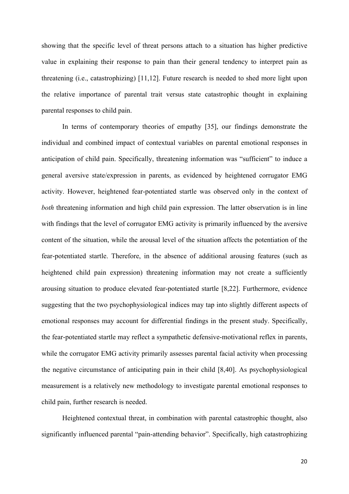showing that the specific level of threat persons attach to a situation has higher predictive value in explaining their response to pain than their general tendency to interpret pain as threatening (i.e., catastrophizing) [11,12]. Future research is needed to shed more light upon the relative importance of parental trait versus state catastrophic thought in explaining parental responses to child pain.

In terms of contemporary theories of empathy [35], our findings demonstrate the individual and combined impact of contextual variables on parental emotional responses in anticipation of child pain. Specifically, threatening information was "sufficient" to induce a general aversive state/expression in parents, as evidenced by heightened corrugator EMG activity. However, heightened fear-potentiated startle was observed only in the context of *both* threatening information and high child pain expression. The latter observation is in line with findings that the level of corrugator EMG activity is primarily influenced by the aversive content of the situation, while the arousal level of the situation affects the potentiation of the fear-potentiated startle. Therefore, in the absence of additional arousing features (such as heightened child pain expression) threatening information may not create a sufficiently arousing situation to produce elevated fear-potentiated startle [8,22]. Furthermore, evidence suggesting that the two psychophysiological indices may tap into slightly different aspects of emotional responses may account for differential findings in the present study. Specifically, the fear-potentiated startle may reflect a sympathetic defensive-motivational reflex in parents, while the corrugator EMG activity primarily assesses parental facial activity when processing the negative circumstance of anticipating pain in their child [8,40]. As psychophysiological measurement is a relatively new methodology to investigate parental emotional responses to child pain, further research is needed.

Heightened contextual threat, in combination with parental catastrophic thought, also significantly influenced parental "pain-attending behavior". Specifically, high catastrophizing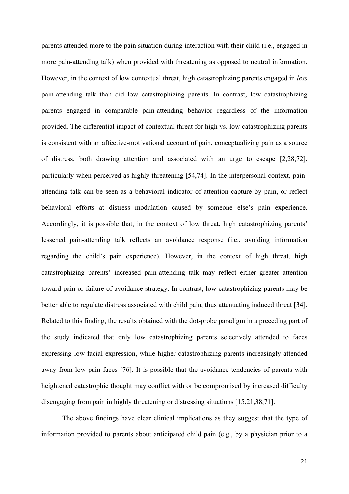parents attended more to the pain situation during interaction with their child (i.e., engaged in more pain-attending talk) when provided with threatening as opposed to neutral information. However, in the context of low contextual threat, high catastrophizing parents engaged in *less* pain-attending talk than did low catastrophizing parents. In contrast, low catastrophizing parents engaged in comparable pain-attending behavior regardless of the information provided. The differential impact of contextual threat for high vs. low catastrophizing parents is consistent with an affective-motivational account of pain, conceptualizing pain as a source of distress, both drawing attention and associated with an urge to escape [2,28,72], particularly when perceived as highly threatening [54,74]. In the interpersonal context, painattending talk can be seen as a behavioral indicator of attention capture by pain, or reflect behavioral efforts at distress modulation caused by someone else's pain experience. Accordingly, it is possible that, in the context of low threat, high catastrophizing parents' lessened pain-attending talk reflects an avoidance response (i.e., avoiding information regarding the child's pain experience). However, in the context of high threat, high catastrophizing parents' increased pain-attending talk may reflect either greater attention toward pain or failure of avoidance strategy. In contrast, low catastrophizing parents may be better able to regulate distress associated with child pain, thus attenuating induced threat [34]. Related to this finding, the results obtained with the dot-probe paradigm in a preceding part of the study indicated that only low catastrophizing parents selectively attended to faces expressing low facial expression, while higher catastrophizing parents increasingly attended away from low pain faces [76]. It is possible that the avoidance tendencies of parents with heightened catastrophic thought may conflict with or be compromised by increased difficulty disengaging from pain in highly threatening or distressing situations [15,21,38,71].

The above findings have clear clinical implications as they suggest that the type of information provided to parents about anticipated child pain (e.g., by a physician prior to a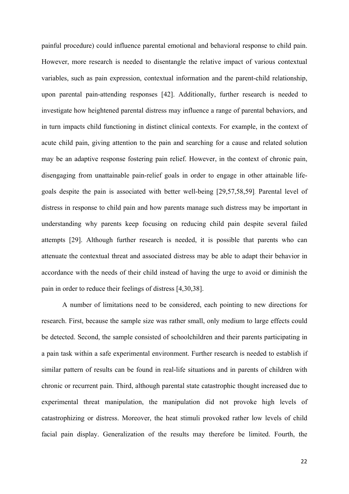painful procedure) could influence parental emotional and behavioral response to child pain. However, more research is needed to disentangle the relative impact of various contextual variables, such as pain expression, contextual information and the parent-child relationship, upon parental pain-attending responses [42]. Additionally, further research is needed to investigate how heightened parental distress may influence a range of parental behaviors, and in turn impacts child functioning in distinct clinical contexts. For example, in the context of acute child pain, giving attention to the pain and searching for a cause and related solution may be an adaptive response fostering pain relief. However, in the context of chronic pain, disengaging from unattainable pain-relief goals in order to engage in other attainable lifegoals despite the pain is associated with better well-being [29,57,58,59]. Parental level of distress in response to child pain and how parents manage such distress may be important in understanding why parents keep focusing on reducing child pain despite several failed attempts [29]. Although further research is needed, it is possible that parents who can attenuate the contextual threat and associated distress may be able to adapt their behavior in accordance with the needs of their child instead of having the urge to avoid or diminish the pain in order to reduce their feelings of distress [4,30,38].

A number of limitations need to be considered, each pointing to new directions for research. First, because the sample size was rather small, only medium to large effects could be detected. Second, the sample consisted of schoolchildren and their parents participating in a pain task within a safe experimental environment. Further research is needed to establish if similar pattern of results can be found in real-life situations and in parents of children with chronic or recurrent pain. Third, although parental state catastrophic thought increased due to experimental threat manipulation, the manipulation did not provoke high levels of catastrophizing or distress. Moreover, the heat stimuli provoked rather low levels of child facial pain display. Generalization of the results may therefore be limited. Fourth, the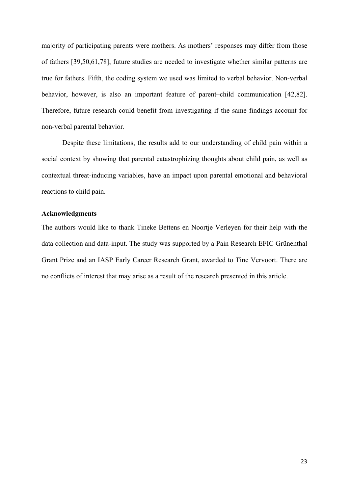majority of participating parents were mothers. As mothers' responses may differ from those of fathers [39,50,61,78], future studies are needed to investigate whether similar patterns are true for fathers. Fifth, the coding system we used was limited to verbal behavior. Non-verbal behavior, however, is also an important feature of parent–child communication [42,82]. Therefore, future research could benefit from investigating if the same findings account for non-verbal parental behavior.

Despite these limitations, the results add to our understanding of child pain within a social context by showing that parental catastrophizing thoughts about child pain, as well as contextual threat-inducing variables, have an impact upon parental emotional and behavioral reactions to child pain.

# **Acknowledgments**

The authors would like to thank Tineke Bettens en Noortje Verleyen for their help with the data collection and data-input. The study was supported by a Pain Research EFIC Grünenthal Grant Prize and an IASP Early Career Research Grant, awarded to Tine Vervoort. There are no conflicts of interest that may arise as a result of the research presented in this article.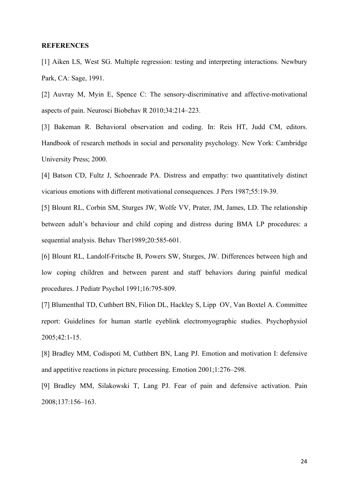#### **REFERENCES**

[1] Aiken LS, West SG. Multiple regression: testing and interpreting interactions. Newbury Park, CA: Sage, 1991.

[2] Auvray M, Myin E, Spence C: The sensory-discriminative and affective-motivational aspects of pain. Neurosci Biobehav R 2010;34:214–223.

[3] Bakeman R. Behavioral observation and coding. In: Reis HT, Judd CM, editors. Handbook of research methods in social and personality psychology. New York: Cambridge University Press; 2000.

[4] Batson CD, Fultz J, Schoenrade PA. Distress and empathy: two quantitatively distinct vicarious emotions with different motivational consequences. J Pers 1987;55:19-39.

[5] Blount RL, Corbin SM, Sturges JW, Wolfe VV, Prater, JM, James, LD. The relationship between adult's behaviour and child coping and distress during BMA LP procedures: a sequential analysis. Behav Ther1989;20:585-601.

[6] Blount RL, Landolf-Fritsche B, Powers SW, Sturges, JW. Differences between high and low coping children and between parent and staff behaviors during painful medical procedures. J Pediatr Psychol 1991;16:795-809.

[7] Blumenthal TD, Cuthbert BN, Filion DL, Hackley S, Lipp OV, Van Boxtel A. Committee report: Guidelines for human startle eyeblink electromyographic studies. Psychophysiol 2005;42:1-15.

[8] Bradley MM, Codispoti M, Cuthbert BN, Lang PJ. Emotion and motivation I: defensive and appetitive reactions in picture processing. Emotion 2001;1:276–298.

[9] Bradley MM, Silakowski T, Lang PJ. Fear of pain and defensive activation. Pain 2008;137:156–163.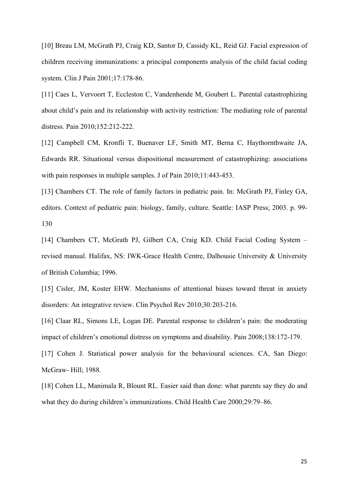[10] Breau LM, McGrath PJ, Craig KD, Santor D, Cassidy KL, Reid GJ. Facial expression of children receiving immunizations: a principal components analysis of the child facial coding system. Clin J Pain 2001;17:178-86.

[11] Caes L, Vervoort T, Eccleston C, Vandenhende M, Goubert L. Parental catastrophizing about child's pain and its relationship with activity restriction: The mediating role of parental distress. Pain 2010;152:212-222.

[12] Campbell CM, Kronfli T, Buenaver LF, Smith MT, Berna C, Haythornthwaite JA, Edwards RR. Situational versus dispositional measurement of catastrophizing: associations with pain responses in multiple samples. J of Pain 2010;11:443-453.

[13] Chambers CT. The role of family factors in pediatric pain. In: McGrath PJ, Finley GA, editors. Context of pediatric pain: biology, family, culture. Seattle: IASP Press; 2003. p. 99- 130

[14] Chambers CT, McGrath PJ, Gilbert CA, Craig KD. Child Facial Coding System – revised manual. Halifax, NS: IWK-Grace Health Centre, Dalhousie University & University of British Columbia; 1996.

[15] Cisler, JM, Koster EHW. Mechanisms of attentional biases toward threat in anxiety disorders: An integrative review. Clin Psychol Rev 2010;30*:*203-216.

[16] Claar RL, Simons LE, Logan DE. Parental response to children's pain: the moderating impact of children's emotional distress on symptoms and disability. Pain 2008;138:172-179.

[17] Cohen J. Statistical power analysis for the behavioural sciences. CA, San Diego: McGraw- Hill; 1988.

[18] Cohen LL, Manimala R, Blount RL. Easier said than done: what parents say they do and what they do during children's immunizations. Child Health Care 2000;29:79–86.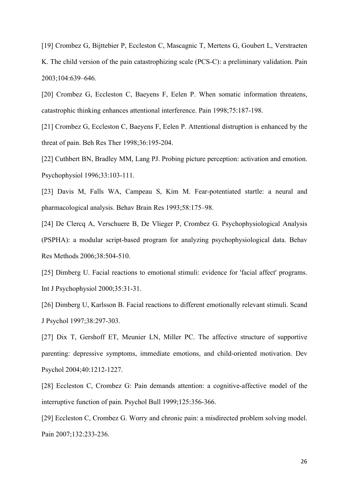[19] Crombez G, Bijttebier P, Eccleston C, Mascagnic T, Mertens G, Goubert L, Verstraeten K. The child version of the pain catastrophizing scale (PCS-C): a preliminary validation. Pain 2003;104:639–646.

[20] Crombez G, Eccleston C, Baeyens F, Eelen P. When somatic information threatens, catastrophic thinking enhances attentional interference. Pain 1998;75:187-198.

[21] Crombez G, Eccleston C, Baeyens F, Eelen P. Attentional distruption is enhanced by the threat of pain. Beh Res Ther 1998;36:195-204.

[22] Cuthbert BN, Bradley MM, Lang PJ. Probing picture perception: activation and emotion. Psychophysiol 1996;33:103-111.

[23] Davis M, Falls WA, Campeau S, Kim M. Fear-potentiated startle: a neural and pharmacological analysis. Behav Brain Res 1993;58:175–98.

[24] De Clercq A, Verschuere B, De Vlieger P, Crombez G. Psychophysiological Analysis (PSPHA): a modular script-based program for analyzing psychophysiological data. Behav Res Methods 2006;38:504-510.

[25] Dimberg U. Facial reactions to emotional stimuli: evidence for 'facial affect' programs. Int J Psychophysiol 2000;35:31-31.

[26] Dimberg U, Karlsson B. Facial reactions to different emotionally relevant stimuli. Scand J Psychol 1997;38:297-303.

[27] Dix T, Gershoff ET, Meunier LN, Miller PC. The affective structure of supportive parenting: depressive symptoms, immediate emotions, and child-oriented motivation. Dev Psychol 2004;40:1212-1227.

[28] Eccleston C, Crombez G: Pain demands attention: a cognitive-affective model of the interruptive function of pain. Psychol Bull 1999;125:356-366.

[29] Eccleston C, Crombez G. Worry and chronic pain: a misdirected problem solving model. Pain 2007;132:233-236.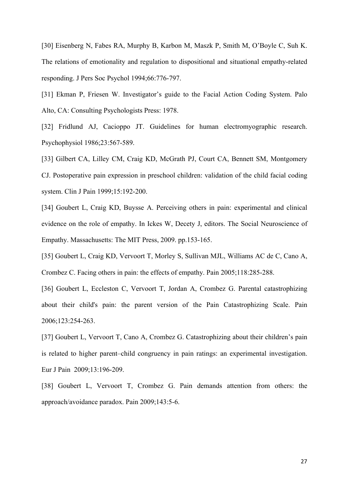[30] Eisenberg N, Fabes RA, Murphy B, Karbon M, Maszk P, Smith M, O'Boyle C, Suh K. The relations of emotionality and regulation to dispositional and situational empathy-related responding. J Pers Soc Psychol 1994;66:776-797.

[31] Ekman P, Friesen W. Investigator's guide to the Facial Action Coding System. Palo Alto, CA: Consulting Psychologists Press: 1978.

[32] Fridlund AJ, Cacioppo JT. Guidelines for human electromyographic research. Psychophysiol 1986;23:567-589.

[33] Gilbert CA, Lilley CM, Craig KD, McGrath PJ, Court CA, Bennett SM, Montgomery CJ. Postoperative pain expression in preschool children: validation of the child facial coding system. Clin J Pain 1999;15:192-200.

[34] Goubert L, Craig KD, Buysse A. Perceiving others in pain: experimental and clinical evidence on the role of empathy. In Ickes W, Decety J, editors. The Social Neuroscience of Empathy. Massachusetts: The MIT Press, 2009. pp.153-165.

[35] Goubert L, Craig KD, Vervoort T, Morley S, Sullivan MJL, Williams AC de C, Cano A, Crombez C. Facing others in pain: the effects of empathy. Pain 2005;118:285-288.

[36] Goubert L, Eccleston C, Vervoort T, Jordan A, Crombez G. Parental catastrophizing about their child's pain: the parent version of the Pain Catastrophizing Scale. Pain 2006;123:254-263.

[37] Goubert L, Vervoort T, Cano A, Crombez G. Catastrophizing about their children's pain is related to higher parent–child congruency in pain ratings: an experimental investigation. Eur J Pain 2009;13:196-209.

[38] Goubert L, Vervoort T, Crombez G. Pain demands attention from others: the approach/avoidance paradox. Pain 2009;143:5-6.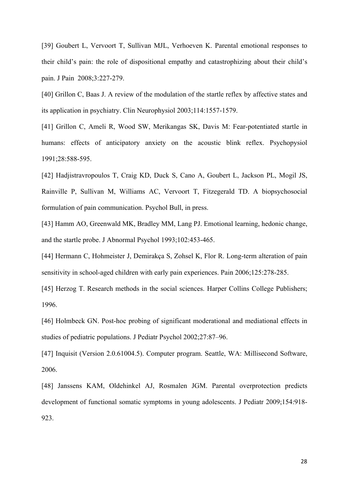[39] Goubert L, Vervoort T, Sullivan MJL, Verhoeven K. Parental emotional responses to their child's pain: the role of dispositional empathy and catastrophizing about their child's pain. J Pain 2008;3:227-279.

[40] Grillon C, Baas J. A review of the modulation of the startle reflex by affective states and its application in psychiatry. Clin Neurophysiol 2003;114:1557-1579.

[41] Grillon C, Ameli R, Wood SW, Merikangas SK, Davis M: Fear-potentiated startle in humans: effects of anticipatory anxiety on the acoustic blink reflex. Psychopysiol 1991;28:588-595.

[42] Hadjistravropoulos T, Craig KD, Duck S, Cano A, Goubert L, Jackson PL, Mogil JS, Rainville P, Sullivan M, Williams AC, Vervoort T, Fitzegerald TD. A biopsychosocial formulation of pain communication. Psychol Bull, in press.

[43] Hamm AO, Greenwald MK, Bradley MM, Lang PJ. Emotional learning, hedonic change, and the startle probe. J Abnormal Psychol 1993;102:453-465.

[44] Hermann C, Hohmeister J, Demirakça S, Zohsel K, Flor R. Long-term alteration of pain sensitivity in school-aged children with early pain experiences. Pain 2006;125:278-285.

[45] Herzog T. Research methods in the social sciences. Harper Collins College Publishers; 1996.

[46] Holmbeck GN. Post-hoc probing of significant moderational and mediational effects in studies of pediatric populations. J Pediatr Psychol 2002;27:87–96.

[47] Inquisit (Version 2.0.61004.5). Computer program. Seattle, WA: Millisecond Software, 2006.

[48] Janssens KAM, Oldehinkel AJ, Rosmalen JGM. Parental overprotection predicts development of functional somatic symptoms in young adolescents. J Pediatr 2009;154:918- 923.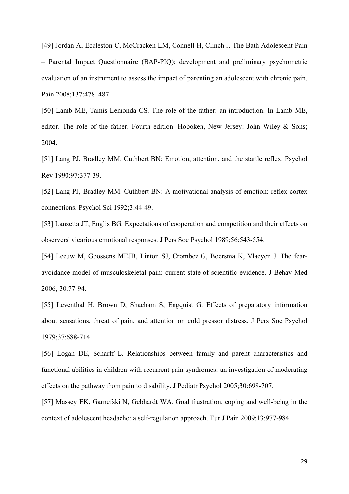[49] Jordan A, Eccleston C, McCracken LM, Connell H, Clinch J. The Bath Adolescent Pain – Parental Impact Questionnaire (BAP-PIQ): development and preliminary psychometric evaluation of an instrument to assess the impact of parenting an adolescent with chronic pain. Pain 2008;137:478–487.

[50] Lamb ME, Tamis-Lemonda CS. The role of the father: an introduction. In Lamb ME, editor. The role of the father. Fourth edition. Hoboken, New Jersey: John Wiley & Sons; 2004.

[51] Lang PJ, Bradley MM, Cuthbert BN: Emotion, attention, and the startle reflex. Psychol Rev 1990;97:377-39.

[52] Lang PJ, Bradley MM, Cuthbert BN: A motivational analysis of emotion: reflex-cortex connections. Psychol Sci 1992;3:44-49.

[53] Lanzetta JT, Englis BG. Expectations of cooperation and competition and their effects on observers' vicarious emotional responses. J Pers Soc Psychol 1989;56:543-554.

[54] Leeuw M, Goossens MEJB, Linton SJ, Crombez G, Boersma K, Vlaeyen J. The fearavoidance model of musculoskeletal pain: current state of scientific evidence. J Behav Med 2006; 30:77-94.

[55] Leventhal H, Brown D, Shacham S, Engquist G. Effects of preparatory information about sensations, threat of pain, and attention on cold pressor distress. J Pers Soc Psychol 1979;37:688-714.

[56] Logan DE, Scharff L. Relationships between family and parent characteristics and functional abilities in children with recurrent pain syndromes: an investigation of moderating effects on the pathway from pain to disability. J Pediatr Psychol 2005;30:698-707.

[57] Massey EK, Garnefski N, Gebhardt WA. Goal frustration, coping and well-being in the context of adolescent headache: a self-regulation approach. Eur J Pain 2009;13:977-984.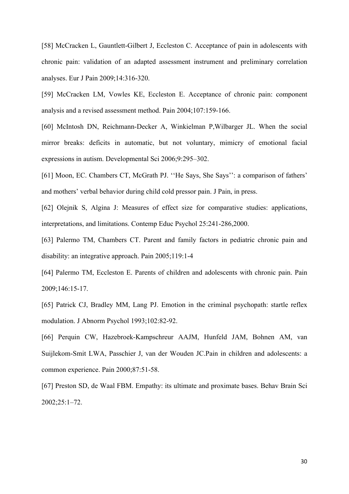[58] McCracken L, Gauntlett-Gilbert J, Eccleston C. Acceptance of pain in adolescents with chronic pain: validation of an adapted assessment instrument and preliminary correlation analyses. Eur J Pain 2009;14:316-320.

[59] McCracken LM, Vowles KE, Eccleston E. Acceptance of chronic pain: component analysis and a revised assessment method. Pain 2004;107:159-166.

[60] McIntosh DN, Reichmann-Decker A, Winkielman P,Wilbarger JL. When the social mirror breaks: deficits in automatic, but not voluntary, mimicry of emotional facial expressions in autism. Developmental Sci 2006;9:295–302.

[61] Moon, EC. Chambers CT, McGrath PJ. "He Says, She Says": a comparison of fathers' and mothers' verbal behavior during child cold pressor pain. J Pain, in press.

[62] Olejnik S, Algina J: Measures of effect size for comparative studies: applications, interpretations, and limitations. Contemp Educ Psychol 25:241-286,2000.

[63] Palermo TM, Chambers CT. Parent and family factors in pediatric chronic pain and disability: an integrative approach. Pain 2005;119:1-4

[64] Palermo TM, Eccleston E. Parents of children and adolescents with chronic pain. Pain 2009;146:15-17.

[65] Patrick CJ, Bradley MM, Lang PJ. Emotion in the criminal psychopath: startle reflex modulation. J Abnorm Psychol 1993;102:82-92.

[66] Perquin CW, Hazebroek-Kampschreur AAJM, Hunfeld JAM, Bohnen AM, van Suijlekom-Smit LWA, Passchier J, van der Wouden JC.Pain in children and adolescents: a common experience. Pain 2000;87:51-58.

[67] Preston SD, de Waal FBM. Empathy: its ultimate and proximate bases. Behav Brain Sci 2002;25:1–72.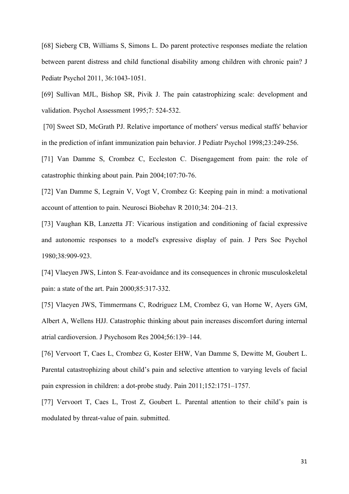[68] Sieberg CB, Williams S, Simons L. Do parent protective responses mediate the relation between parent distress and child functional disability among children with chronic pain? J Pediatr Psychol 2011, 36:1043-1051.

[69] Sullivan MJL, Bishop SR, Pivik J. The pain catastrophizing scale: development and validation. Psychol Assessment 1995;7: 524-532.

[70] Sweet SD, McGrath PJ. Relative importance of mothers' versus medical staffs' behavior in the prediction of infant immunization pain behavior. J Pediatr Psychol 1998;23:249-256.

[71] Van Damme S, Crombez C, Eccleston C. Disengagement from pain: the role of catastrophic thinking about pain. Pain 2004;107:70-76.

[72] Van Damme S, Legrain V, Vogt V, Crombez G: Keeping pain in mind: a motivational account of attention to pain. Neurosci Biobehav R 2010;34: 204–213.

[73] Vaughan KB, Lanzetta JT: Vicarious instigation and conditioning of facial expressive and autonomic responses to a model's expressive display of pain. J Pers Soc Psychol 1980;38:909-923.

[74] Vlaeyen JWS, Linton S. Fear-avoidance and its consequences in chronic musculoskeletal pain: a state of the art. Pain 2000;85:317-332.

[75] Vlaeyen JWS, Timmermans C, Rodriguez LM, Crombez G, van Horne W, Ayers GM, Albert A, Wellens HJJ. Catastrophic thinking about pain increases discomfort during internal atrial cardioversion. J Psychosom Res 2004;56:139–144.

[76] Vervoort T, Caes L, Crombez G, Koster EHW, Van Damme S, Dewitte M, Goubert L. Parental catastrophizing about child's pain and selective attention to varying levels of facial pain expression in children: a dot-probe study. Pain 2011;152:1751–1757.

[77] Vervoort T, Caes L, Trost Z, Goubert L. Parental attention to their child's pain is modulated by threat-value of pain. submitted.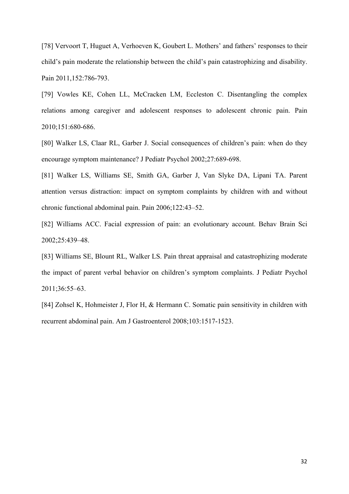[78] Vervoort T, Huguet A, Verhoeven K, Goubert L. Mothers' and fathers' responses to their child's pain moderate the relationship between the child's pain catastrophizing and disability. Pain 2011,152:786-793.

[79] Vowles KE, Cohen LL, McCracken LM, Eccleston C. Disentangling the complex relations among caregiver and adolescent responses to adolescent chronic pain. Pain 2010;151:680-686.

[80] Walker LS, Claar RL, Garber J. Social consequences of children's pain: when do they encourage symptom maintenance? J Pediatr Psychol 2002;27:689-698.

[81] Walker LS, Williams SE, Smith GA, Garber J, Van Slyke DA, Lipani TA. Parent attention versus distraction: impact on symptom complaints by children with and without chronic functional abdominal pain. Pain 2006;122:43–52.

[82] Williams ACC. Facial expression of pain: an evolutionary account. Behav Brain Sci 2002;25:439–48.

[83] Williams SE, Blount RL, Walker LS. Pain threat appraisal and catastrophizing moderate the impact of parent verbal behavior on children's symptom complaints. J Pediatr Psychol 2011;36:55–63.

[84] Zohsel K, Hohmeister J, Flor H, & Hermann C. Somatic pain sensitivity in children with recurrent abdominal pain. Am J Gastroenterol 2008;103:1517-1523.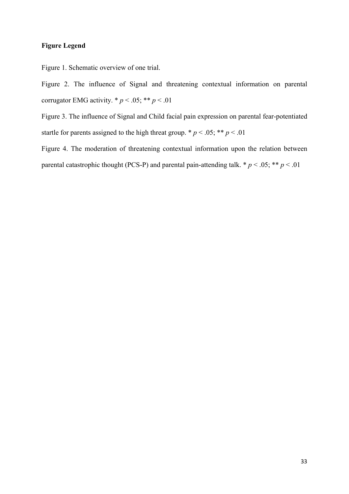# **Figure Legend**

Figure 1. Schematic overview of one trial.

Figure 2. The influence of Signal and threatening contextual information on parental corrugator EMG activity.  $* p < .05; ** p < .01$ 

Figure 3. The influence of Signal and Child facial pain expression on parental fear-potentiated startle for parents assigned to the high threat group. \*  $p < .05$ ; \*\*  $p < .01$ 

Figure 4. The moderation of threatening contextual information upon the relation between parental catastrophic thought (PCS-P) and parental pain-attending talk.  $* p < .05; ** p < .01$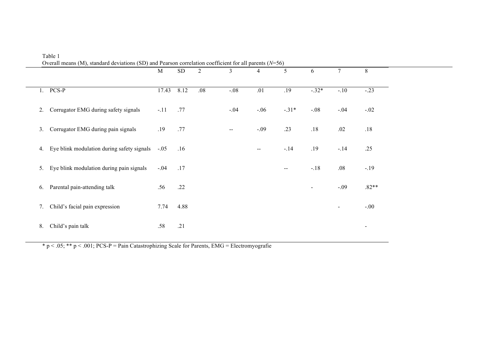|                | Overall means (M), standard deviations (SD) and Pearson correlation coefficient for all parents ( $N=56$ ) | M      | <b>SD</b> | 2   | 3                        | 4                        | 5                        | 6              | 7                            | 8                        |
|----------------|------------------------------------------------------------------------------------------------------------|--------|-----------|-----|--------------------------|--------------------------|--------------------------|----------------|------------------------------|--------------------------|
|                | $1.$ PCS-P                                                                                                 | 17.43  | 8.12      | .08 | $-.08$                   | .01                      | .19                      | $-.32*$        | $-.10$                       | $-.23$                   |
| 2.             | Corrugator EMG during safety signals                                                                       | $-.11$ | .77       |     | $-.04$                   | $-.06$                   | $-.31*$                  | $-.08$         | $-.04$                       | $-.02$                   |
| 3.             | Corrugator EMG during pain signals                                                                         | .19    | .77       |     | $\overline{\phantom{m}}$ | $-.09$                   | .23                      | $.18$          | .02                          | .18                      |
| 4.             | Eye blink modulation during safety signals                                                                 | $-.05$ | .16       |     |                          | $\overline{\phantom{m}}$ | $-.14$                   | .19            | $-.14$                       | .25                      |
| 5 <sub>1</sub> | Eye blink modulation during pain signals                                                                   | $-.04$ | .17       |     |                          |                          | $\overline{\phantom{m}}$ | $-.18$         | .08                          | $-19$                    |
| 6.             | Parental pain-attending talk                                                                               | .56    | .22       |     |                          |                          |                          | $\blacksquare$ | $-.09$                       | $.82**$                  |
| 7.             | Child's facial pain expression                                                                             | 7.74   | 4.88      |     |                          |                          |                          |                | $\qquad \qquad \blacksquare$ | $-.00$                   |
| 8.             | Child's pain talk                                                                                          | .58    | .21       |     |                          |                          |                          |                |                              | $\overline{\phantom{a}}$ |

Table 1

 $* p < .05; ** p < .001; PCS-P = Pain Catastrophizing Scale for Parents, EMG = Electromyografie$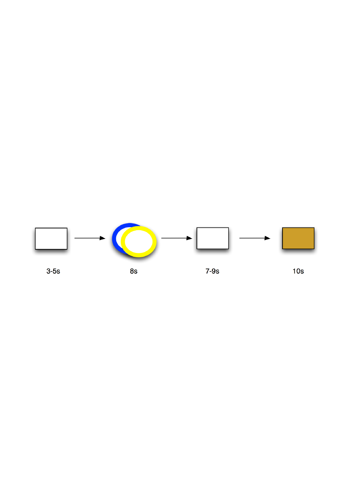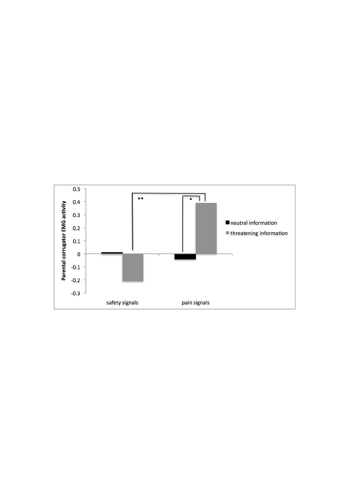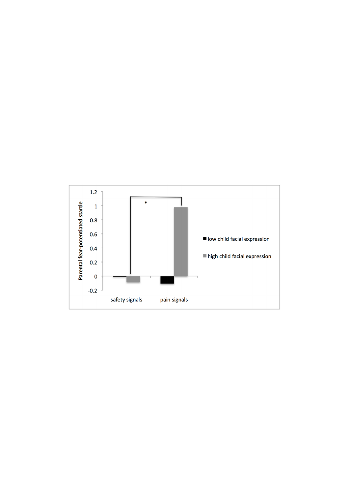